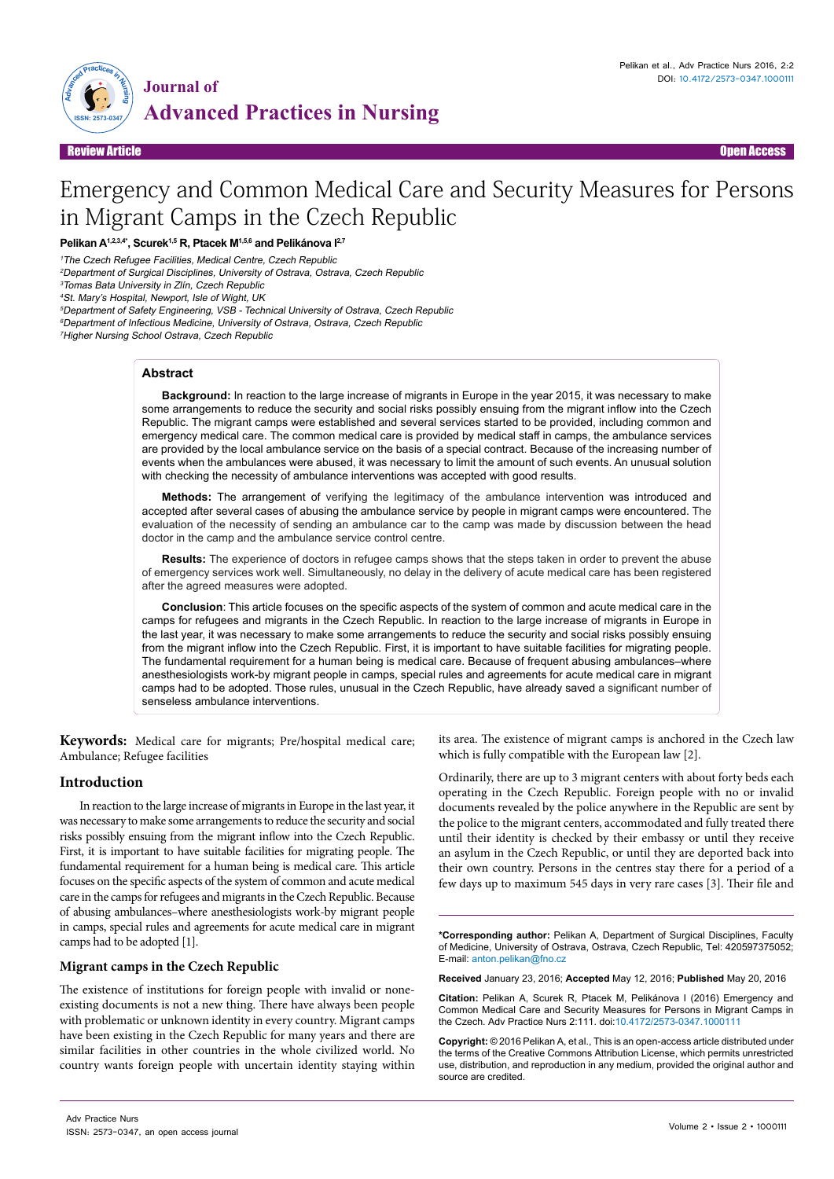

# Emergency and Common Medical Care and Security Measures for Persons in Migrant Camps in the Czech Republic

**Pelikan A1,2,3,4\*, Scurek1,5 R, Ptacek M1,5,6 and Pelikánova I2,7**

<sup>1</sup>The Czech Refugee Facilities, Medical Centre, Czech Republic

<sup>2</sup>Department of Surgical Disciplines, University of Ostrava, Ostrava, Czech Republic

<sup>3</sup>Tomas Bata University in Zlín, Czech Republic

<sup>4</sup>St. Mary's Hospital, Newport, Isle of Wight, UK

<sup>5</sup>Department of Safety Engineering, VSB - Technical University of Ostrava, Czech Republic

<sup>6</sup>Department of Infectious Medicine, University of Ostrava, Ostrava, Czech Republic

<sup>7</sup>Higher Nursing School Ostrava, Czech Republic

# **Abstract**

**Background:** In reaction to the large increase of migrants in Europe in the year 2015, it was necessary to make some arrangements to reduce the security and social risks possibly ensuing from the migrant inflow into the Czech Republic. The migrant camps were established and several services started to be provided, including common and emergency medical care. The common medical care is provided by medical staff in camps, the ambulance services are provided by the local ambulance service on the basis of a special contract. Because of the increasing number of events when the ambulances were abused, it was necessary to limit the amount of such events. An unusual solution with checking the necessity of ambulance interventions was accepted with good results.

**Methods:** The arrangement of verifying the legitimacy of the ambulance intervention was introduced and accepted after several cases of abusing the ambulance service by people in migrant camps were encountered. The evaluation of the necessity of sending an ambulance car to the camp was made by discussion between the head doctor in the camp and the ambulance service control centre.

**Results:** The experience of doctors in refugee camps shows that the steps taken in order to prevent the abuse of emergency services work well. Simultaneously, no delay in the delivery of acute medical care has been registered after the agreed measures were adopted.

**Conclusion**: This article focuses on the specific aspects of the system of common and acute medical care in the camps for refugees and migrants in the Czech Republic. In reaction to the large increase of migrants in Europe in the last year, it was necessary to make some arrangements to reduce the security and social risks possibly ensuing from the migrant inflow into the Czech Republic. First, it is important to have suitable facilities for migrating people. The fundamental requirement for a human being is medical care. Because of frequent abusing ambulances–where anesthesiologists work-by migrant people in camps, special rules and agreements for acute medical care in migrant camps had to be adopted. Those rules, unusual in the Czech Republic, have already saved a significant number of senseless ambulance interventions.

**Keywords:** Medical care for migrants; Pre/hospital medical care; Ambulance; Refugee facilities

# **Introduction**

In reaction to the large increase of migrants in Europe in the last year, it was necessary to make some arrangements to reduce the security and social risks possibly ensuing from the migrant inflow into the Czech Republic. First, it is important to have suitable facilities for migrating people. The fundamental requirement for a human being is medical care. This article focuses on the specific aspects of the system of common and acute medical care in the camps for refugees and migrants in the Czech Republic. Because of abusing ambulances–where anesthesiologists work-by migrant people in camps, special rules and agreements for acute medical care in migrant camps had to be adopted [1].

# **Migrant camps in the Czech Republic**

ISSN: 2573-0347, an open access journal

The existence of institutions for foreign people with invalid or noneexisting documents is not a new thing. There have always been people with problematic or unknown identity in every country. Migrant camps have been existing in the Czech Republic for many years and there are similar facilities in other countries in the whole civilized world. No country wants foreign people with uncertain identity staying within

its area. The existence of migrant camps is anchored in the Czech law which is fully compatible with the European law [2].

Ordinarily, there are up to 3 migrant centers with about forty beds each operating in the Czech Republic. Foreign people with no or invalid documents revealed by the police anywhere in the Republic are sent by the police to the migrant centers, accommodated and fully treated there until their identity is checked by their embassy or until they receive an asylum in the Czech Republic, or until they are deported back into their own country. Persons in the centres stay there for a period of a few days up to maximum 545 days in very rare cases [3]. Their file and

**\*Corresponding author:** Pelikan A, Department of Surgical Disciplines, Faculty of Medicine, University of Ostrava, Ostrava, Czech Republic, Tel: 420597375052; E-mail: anton.pelikan@fno.cz

**Received** January 23, 2016; **Accepted** May 12, 2016; **Published** May 20, 2016

**Citation:** Pelikan A, Scurek R, Ptacek M, Pelikánova I (2016) Emergency and Common Medical Care and Security Measures for Persons in Migrant Camps in the Czech. Adv Practice Nurs 2:111. doi:10.4172/2573-0347.1000111

**Copyright:** © 2016 Pelikan A, et al., This is an open-access article distributed under the terms of the Creative Commons Attribution License, which permits unrestricted use, distribution, and reproduction in any medium, provided the original author and source are credited.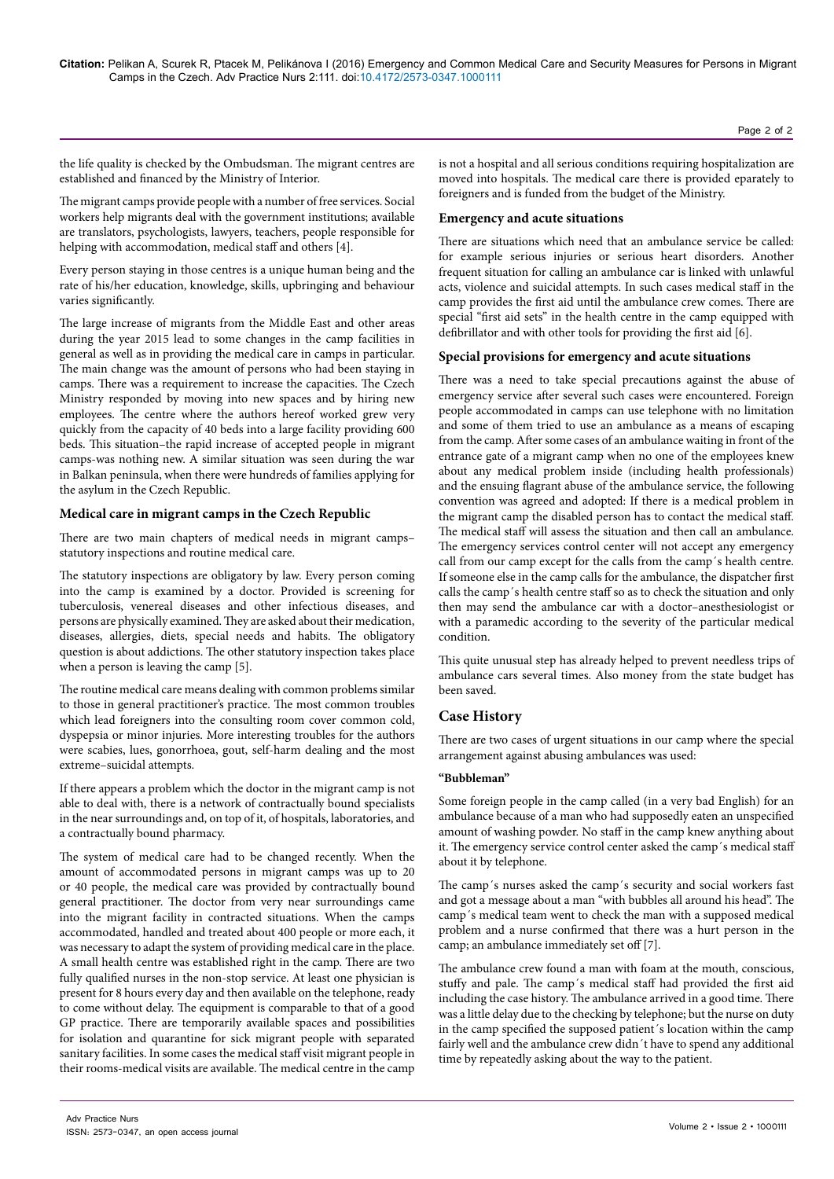the life quality is checked by the Ombudsman. The migrant centres are established and financed by the Ministry of Interior.

The migrant camps provide people with a number of free services. Social workers help migrants deal with the government institutions; available are translators, psychologists, lawyers, teachers, people responsible for helping with accommodation, medical staff and others [4].

Every person staying in those centres is a unique human being and the rate of his/her education, knowledge, skills, upbringing and behaviour varies significantly.

The large increase of migrants from the Middle East and other areas during the year 2015 lead to some changes in the camp facilities in general as well as in providing the medical care in camps in particular. The main change was the amount of persons who had been staying in camps. There was a requirement to increase the capacities. The Czech Ministry responded by moving into new spaces and by hiring new employees. The centre where the authors hereof worked grew very quickly from the capacity of 40 beds into a large facility providing 600 beds. This situation–the rapid increase of accepted people in migrant camps-was nothing new. A similar situation was seen during the war in Balkan peninsula, when there were hundreds of families applying for the asylum in the Czech Republic.

# **Medical care in migrant camps in the Czech Republic**

There are two main chapters of medical needs in migrant camps– statutory inspections and routine medical care.

The statutory inspections are obligatory by law. Every person coming into the camp is examined by a doctor. Provided is screening for tuberculosis, venereal diseases and other infectious diseases, and persons are physically examined. They are asked about their medication, diseases, allergies, diets, special needs and habits. The obligatory question is about addictions. The other statutory inspection takes place when a person is leaving the camp [5].

The routine medical care means dealing with common problems similar to those in general practitioner's practice. The most common troubles which lead foreigners into the consulting room cover common cold, dyspepsia or minor injuries. More interesting troubles for the authors were scabies, lues, gonorrhoea, gout, self-harm dealing and the most extreme–suicidal attempts.

If there appears a problem which the doctor in the migrant camp is not able to deal with, there is a network of contractually bound specialists in the near surroundings and, on top of it, of hospitals, laboratories, and a contractually bound pharmacy.

The system of medical care had to be changed recently. When the amount of accommodated persons in migrant camps was up to 20 or 40 people, the medical care was provided by contractually bound general practitioner. The doctor from very near surroundings came into the migrant facility in contracted situations. When the camps accommodated, handled and treated about 400 people or more each, it was necessary to adapt the system of providing medical care in the place. A small health centre was established right in the camp. There are two fully qualified nurses in the non-stop service. At least one physician is present for 8 hours every day and then available on the telephone, ready to come without delay. The equipment is comparable to that of a good GP practice. There are temporarily available spaces and possibilities for isolation and quarantine for sick migrant people with separated sanitary facilities. In some cases the medical staff visit migrant people in their rooms-medical visits are available. The medical centre in the camp

is not a hospital and all serious conditions requiring hospitalization are moved into hospitals. The medical care there is provided eparately to foreigners and is funded from the budget of the Ministry.

# **Emergency and acute situations**

There are situations which need that an ambulance service be called: for example serious injuries or serious heart disorders. Another frequent situation for calling an ambulance car is linked with unlawful acts, violence and suicidal attempts. In such cases medical staff in the camp provides the first aid until the ambulance crew comes. There are special "first aid sets" in the health centre in the camp equipped with defibrillator and with other tools for providing the first aid [6].

#### **Special provisions for emergency and acute situations**

There was a need to take special precautions against the abuse of emergency service after several such cases were encountered. Foreign people accommodated in camps can use telephone with no limitation and some of them tried to use an ambulance as a means of escaping from the camp. After some cases of an ambulance waiting in front of the entrance gate of a migrant camp when no one of the employees knew about any medical problem inside (including health professionals) and the ensuing flagrant abuse of the ambulance service, the following convention was agreed and adopted: If there is a medical problem in the migrant camp the disabled person has to contact the medical staff. The medical staff will assess the situation and then call an ambulance. The emergency services control center will not accept any emergency call from our camp except for the calls from the camp´s health centre. If someone else in the camp calls for the ambulance, the dispatcher first calls the camp´s health centre staff so as to check the situation and only then may send the ambulance car with a doctor–anesthesiologist or with a paramedic according to the severity of the particular medical condition.

This quite unusual step has already helped to prevent needless trips of ambulance cars several times. Also money from the state budget has been saved.

# **Case History**

There are two cases of urgent situations in our camp where the special arrangement against abusing ambulances was used:

#### **"Bubbleman"**

Some foreign people in the camp called (in a very bad English) for an ambulance because of a man who had supposedly eaten an unspecified amount of washing powder. No staff in the camp knew anything about it. The emergency service control center asked the camp´s medical staff about it by telephone.

The camp´s nurses asked the camp´s security and social workers fast and got a message about a man "with bubbles all around his head". The camp´s medical team went to check the man with a supposed medical problem and a nurse confirmed that there was a hurt person in the camp; an ambulance immediately set off [7].

The ambulance crew found a man with foam at the mouth, conscious, stuffy and pale. The camp´s medical staff had provided the first aid including the case history. The ambulance arrived in a good time. There was a little delay due to the checking by telephone; but the nurse on duty in the camp specified the supposed patient´s location within the camp fairly well and the ambulance crew didn´t have to spend any additional time by repeatedly asking about the way to the patient.